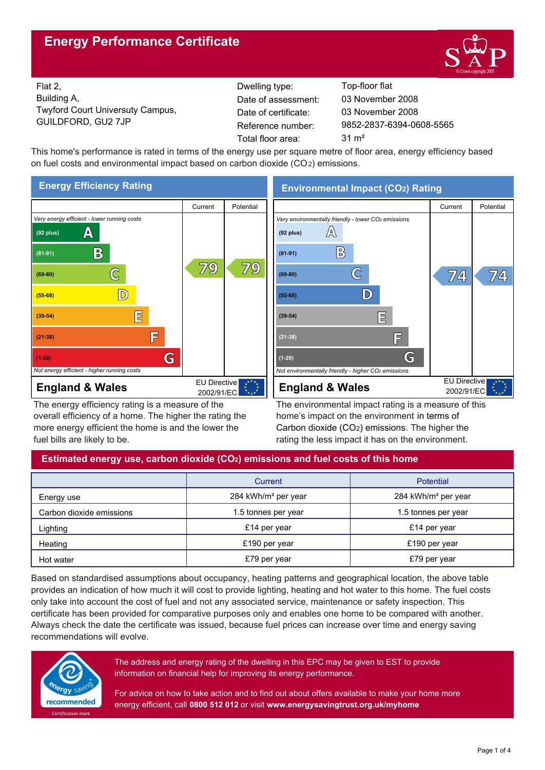# **Energy Performance Certificate**



Flat 2, Building A, Twyford Court Universuty Campus, GUILDFORD, GU2 7JP Reference number:

Dwelling type: Top-floor flat Date of certificate: Total floor area: 31 m<sup>2</sup> Date of assessment:

9852-2837-6394-0608-5565 03 November 2008 03 November 2008

This home's performance is rated in terms of the energy use per square metre of floor area, energy efficiency based on fuel costs and environmental impact based on carbon dioxide (CO2) emissions.



The energy efficiency rating is a measure of the overall efficiency of a home. The higher the rating the more energy efficient the home is and the lower the fuel bills are likely to be.

# **Environmental Impact (CO2) Rating**



The environmental impact rating is a measure of this home's impact on the environment in terms of Carbon dioxide (CO2) emissions. The higher the rating the less impact it has on the environment.

# **Estimated energy use, carbon dioxide (CO2) emissions and fuel costs of this home**

|                          | Current                         | <b>Potential</b>                |  |
|--------------------------|---------------------------------|---------------------------------|--|
| Energy use               | 284 kWh/m <sup>2</sup> per year | 284 kWh/m <sup>2</sup> per year |  |
| Carbon dioxide emissions | 1.5 tonnes per year             | 1.5 tonnes per year             |  |
| Lighting                 | £14 per year                    | £14 per year                    |  |
| Heating                  | £190 per year                   | £190 per year                   |  |
| Hot water                | £79 per year                    | £79 per year                    |  |

Based on standardised assumptions about occupancy, heating patterns and geographical location, the above table provides an indication of how much it will cost to provide lighting, heating and hot water to this home. The fuel costs only take into account the cost of fuel and not any associated service, maintenance or safety inspection. This certificate has been provided for comparative purposes only and enables one home to be compared with another. Always check the date the certificate was issued, because fuel prices can increase over time and energy saving recommendations will evolve.



The address and energy rating of the dwelling in this EPC may be given to EST to provide information on financial help for improving its energy performance.

For advice on how to take action and to find out about offers available to make your home more energy efficient, call **0800 512 012** or visit **www.energysavingtrust.org.uk/myhome**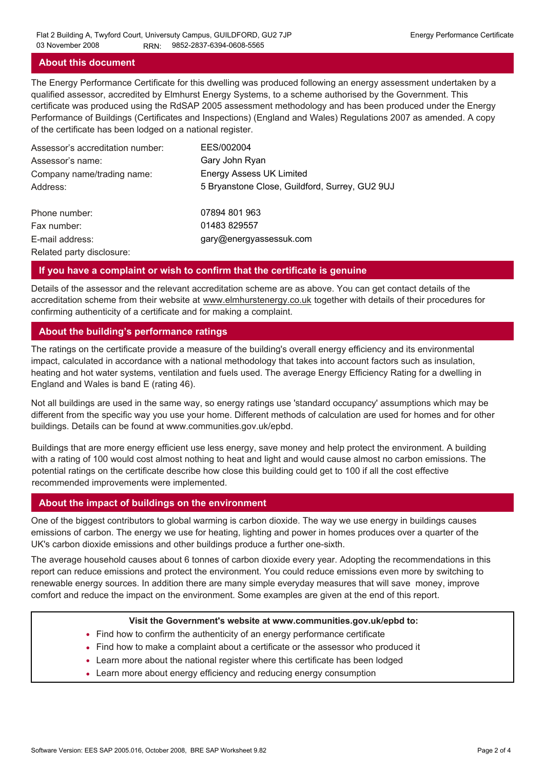## **About this document**

The Energy Performance Certificate for this dwelling was produced following an energy assessment undertaken by a qualified assessor, accredited by Elmhurst Energy Systems, to a scheme authorised by the Government. This certificate was produced using the RdSAP 2005 assessment methodology and has been produced under the Energy Performance of Buildings (Certificates and Inspections) (England and Wales) Regulations 2007 as amended. A copy of the certificate has been lodged on a national register.

| Assessor's accreditation number: | EES/002004                                     |
|----------------------------------|------------------------------------------------|
| Assessor's name:                 | Gary John Ryan                                 |
| Company name/trading name:       | <b>Energy Assess UK Limited</b>                |
| Address:                         | 5 Bryanstone Close, Guildford, Surrey, GU2 9UJ |
| Phone number:                    | 07894 801 963                                  |
| Fax number:                      | 01483 829557                                   |
| E-mail address:                  | gary@energyassessuk.com                        |
| Related party disclosure:        |                                                |

### **If you have a complaint or wish to confirm that the certificate is genuine**

Details of the assessor and the relevant accreditation scheme are as above. You can get contact details of the accreditation scheme from their website at www.elmhurstenergy.co.uk together with details of their procedures for confirming authenticity of a certificate and for making a complaint.

## **About the building's performance ratings**

The ratings on the certificate provide a measure of the building's overall energy efficiency and its environmental impact, calculated in accordance with a national methodology that takes into account factors such as insulation, heating and hot water systems, ventilation and fuels used. The average Energy Efficiency Rating for a dwelling in England and Wales is band E (rating 46).

Not all buildings are used in the same way, so energy ratings use 'standard occupancy' assumptions which may be different from the specific way you use your home. Different methods of calculation are used for homes and for other buildings. Details can be found at www.communities.gov.uk/epbd.

Buildings that are more energy efficient use less energy, save money and help protect the environment. A building with a rating of 100 would cost almost nothing to heat and light and would cause almost no carbon emissions. The potential ratings on the certificate describe how close this building could get to 100 if all the cost effective recommended improvements were implemented.

## **About the impact of buildings on the environment**

One of the biggest contributors to global warming is carbon dioxide. The way we use energy in buildings causes emissions of carbon. The energy we use for heating, lighting and power in homes produces over a quarter of the UK's carbon dioxide emissions and other buildings produce a further one-sixth.

The average household causes about 6 tonnes of carbon dioxide every year. Adopting the recommendations in this report can reduce emissions and protect the environment. You could reduce emissions even more by switching to renewable energy sources. In addition there are many simple everyday measures that will save money, improve comfort and reduce the impact on the environment. Some examples are given at the end of this report.

#### **Visit the Government's website at www.communities.gov.uk/epbd to:**

- Find how to confirm the authenticity of an energy performance certificate
- Find how to make a complaint about a certificate or the assessor who produced it •
- Learn more about the national register where this certificate has been lodged •
- Learn more about energy efficiency and reducing energy consumption •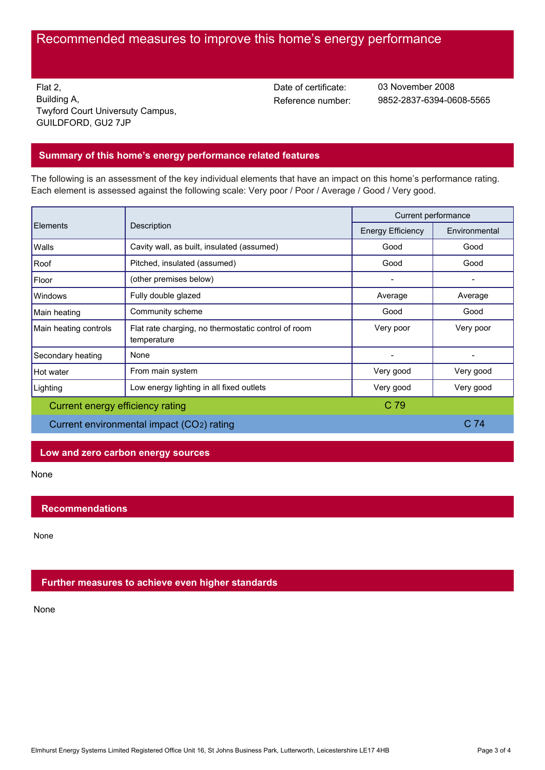# Recommended measures to improve this home's energy performance

Flat 2, Building A, Twyford Court Universuty Campus, GUILDFORD, GU2 7JP

Date of certificate:

Reference number: 9852-2837-6394-0608-5565 03 November 2008

## **Summary of this home's energy performance related features**

The following is an assessment of the key individual elements that have an impact on this home's performance rating. Each element is assessed against the following scale: Very poor / Poor / Average / Good / Very good.

| Elements                                  | Description                                                        | Current performance      |               |
|-------------------------------------------|--------------------------------------------------------------------|--------------------------|---------------|
|                                           |                                                                    | <b>Energy Efficiency</b> | Environmental |
| Walls                                     | Cavity wall, as built, insulated (assumed)                         | Good                     | Good          |
| Roof                                      | Pitched, insulated (assumed)                                       | Good                     | Good          |
| Floor                                     | (other premises below)                                             |                          |               |
| Windows                                   | Fully double glazed                                                | Average                  | Average       |
| Main heating                              | Community scheme                                                   | Good                     | Good          |
| Main heating controls                     | Flat rate charging, no thermostatic control of room<br>temperature | Very poor                | Very poor     |
| Secondary heating                         | None                                                               |                          |               |
| Hot water                                 | From main system                                                   | Very good                | Very good     |
| Lighting                                  | Low energy lighting in all fixed outlets                           | Very good                | Very good     |
| C 79<br>Current energy efficiency rating  |                                                                    |                          |               |
| Current environmental impact (CO2) rating |                                                                    | C <sub>74</sub>          |               |

### **Low and zero carbon energy sources**

None

## **Recommendations**

None

## **Further measures to achieve even higher standards**

None